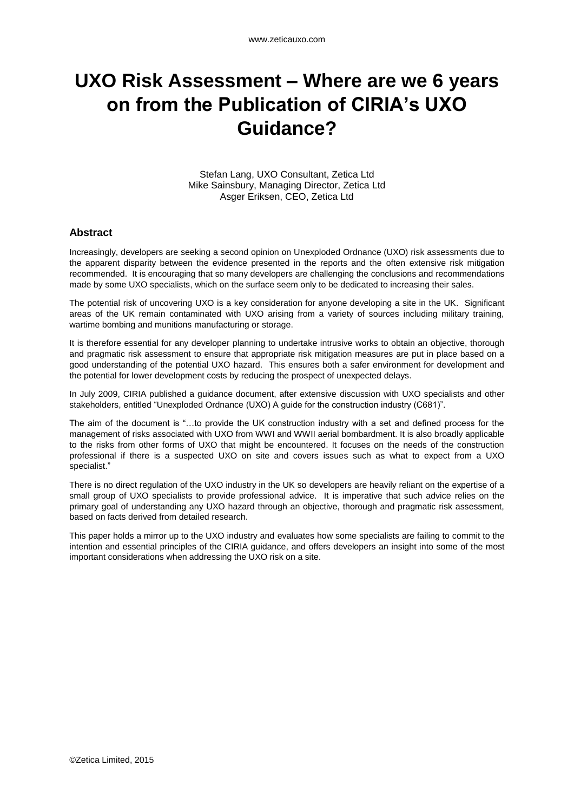# **UXO Risk Assessment – Where are we 6 years on from the Publication of CIRIA's UXO Guidance?**

Stefan Lang, UXO Consultant, Zetica Ltd Mike Sainsbury, Managing Director, Zetica Ltd Asger Eriksen, CEO, Zetica Ltd

#### **Abstract**

Increasingly, developers are seeking a second opinion on Unexploded Ordnance (UXO) risk assessments due to the apparent disparity between the evidence presented in the reports and the often extensive risk mitigation recommended. It is encouraging that so many developers are challenging the conclusions and recommendations made by some UXO specialists, which on the surface seem only to be dedicated to increasing their sales.

The potential risk of uncovering UXO is a key consideration for anyone developing a site in the UK. Significant areas of the UK remain contaminated with UXO arising from a variety of sources including military training, wartime bombing and munitions manufacturing or storage.

It is therefore essential for any developer planning to undertake intrusive works to obtain an objective, thorough and pragmatic risk assessment to ensure that appropriate risk mitigation measures are put in place based on a good understanding of the potential UXO hazard. This ensures both a safer environment for development and the potential for lower development costs by reducing the prospect of unexpected delays.

In July 2009, CIRIA published a guidance document, after extensive discussion with UXO specialists and other stakeholders, entitled "Unexploded Ordnance (UXO) A guide for the construction industry (C681)".

The aim of the document is "…to provide the UK construction industry with a set and defined process for the management of risks associated with UXO from WWI and WWII aerial bombardment. It is also broadly applicable to the risks from other forms of UXO that might be encountered. It focuses on the needs of the construction professional if there is a suspected UXO on site and covers issues such as what to expect from a UXO specialist."

There is no direct regulation of the UXO industry in the UK so developers are heavily reliant on the expertise of a small group of UXO specialists to provide professional advice. It is imperative that such advice relies on the primary goal of understanding any UXO hazard through an objective, thorough and pragmatic risk assessment, based on facts derived from detailed research.

This paper holds a mirror up to the UXO industry and evaluates how some specialists are failing to commit to the intention and essential principles of the CIRIA guidance, and offers developers an insight into some of the most important considerations when addressing the UXO risk on a site.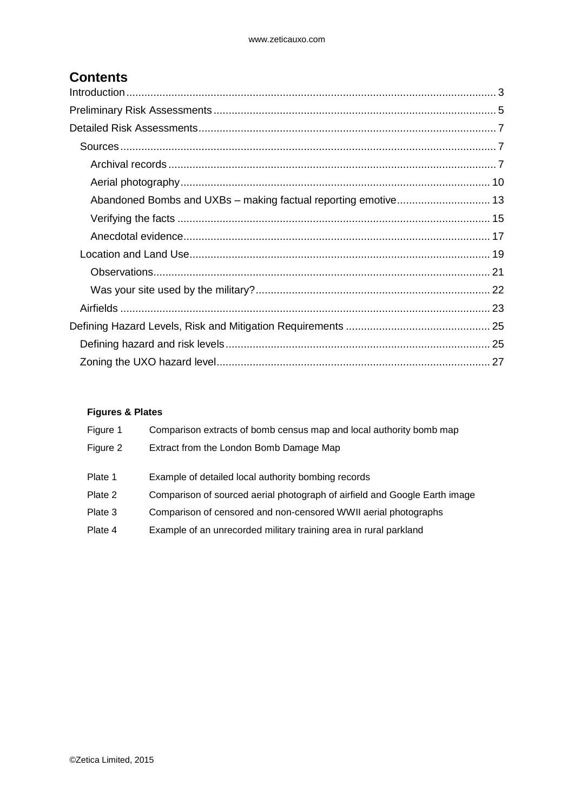## **Contents**

#### **Figures & Plates**

| Figure 1 | Comparison extracts of bomb census map and local authority bomb map        |
|----------|----------------------------------------------------------------------------|
| Figure 2 | Extract from the London Bomb Damage Map                                    |
|          |                                                                            |
| Plate 1  | Example of detailed local authority bombing records                        |
| Plate 2  | Comparison of sourced aerial photograph of airfield and Google Earth image |
| Plate 3  | Comparison of censored and non-censored WWII aerial photographs            |
| Plate 4  | Example of an unrecorded military training area in rural parkland          |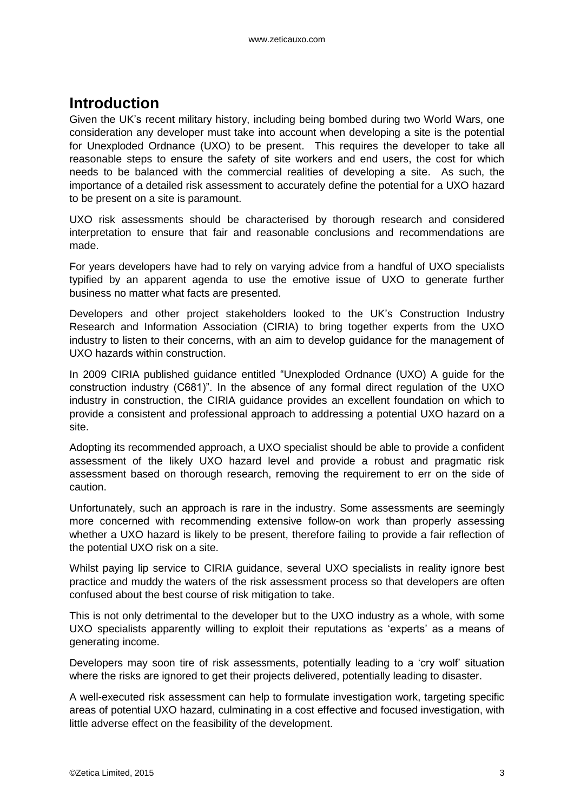## <span id="page-2-0"></span>**Introduction**

Given the UK's recent military history, including being bombed during two World Wars, one consideration any developer must take into account when developing a site is the potential for Unexploded Ordnance (UXO) to be present. This requires the developer to take all reasonable steps to ensure the safety of site workers and end users, the cost for which needs to be balanced with the commercial realities of developing a site. As such, the importance of a detailed risk assessment to accurately define the potential for a UXO hazard to be present on a site is paramount.

UXO risk assessments should be characterised by thorough research and considered interpretation to ensure that fair and reasonable conclusions and recommendations are made.

For years developers have had to rely on varying advice from a handful of UXO specialists typified by an apparent agenda to use the emotive issue of UXO to generate further business no matter what facts are presented.

Developers and other project stakeholders looked to the UK's Construction Industry Research and Information Association (CIRIA) to bring together experts from the UXO industry to listen to their concerns, with an aim to develop guidance for the management of UXO hazards within construction.

In 2009 CIRIA published guidance entitled "Unexploded Ordnance (UXO) A guide for the construction industry (C681)". In the absence of any formal direct regulation of the UXO industry in construction, the CIRIA guidance provides an excellent foundation on which to provide a consistent and professional approach to addressing a potential UXO hazard on a site.

Adopting its recommended approach, a UXO specialist should be able to provide a confident assessment of the likely UXO hazard level and provide a robust and pragmatic risk assessment based on thorough research, removing the requirement to err on the side of caution.

Unfortunately, such an approach is rare in the industry. Some assessments are seemingly more concerned with recommending extensive follow-on work than properly assessing whether a UXO hazard is likely to be present, therefore failing to provide a fair reflection of the potential UXO risk on a site.

Whilst paying lip service to CIRIA guidance, several UXO specialists in reality ignore best practice and muddy the waters of the risk assessment process so that developers are often confused about the best course of risk mitigation to take.

This is not only detrimental to the developer but to the UXO industry as a whole, with some UXO specialists apparently willing to exploit their reputations as 'experts' as a means of generating income.

Developers may soon tire of risk assessments, potentially leading to a 'cry wolf' situation where the risks are ignored to get their projects delivered, potentially leading to disaster.

A well-executed risk assessment can help to formulate investigation work, targeting specific areas of potential UXO hazard, culminating in a cost effective and focused investigation, with little adverse effect on the feasibility of the development.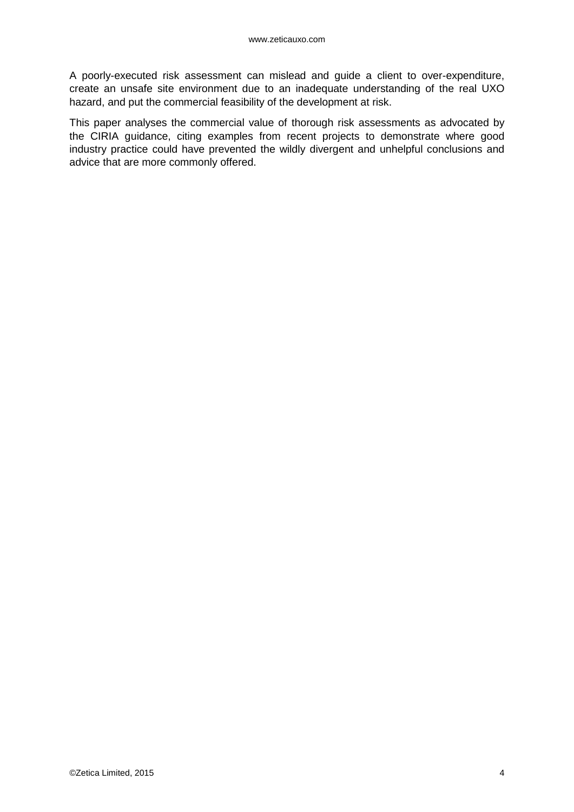A poorly-executed risk assessment can mislead and guide a client to over-expenditure, create an unsafe site environment due to an inadequate understanding of the real UXO hazard, and put the commercial feasibility of the development at risk.

This paper analyses the commercial value of thorough risk assessments as advocated by the CIRIA guidance, citing examples from recent projects to demonstrate where good industry practice could have prevented the wildly divergent and unhelpful conclusions and advice that are more commonly offered.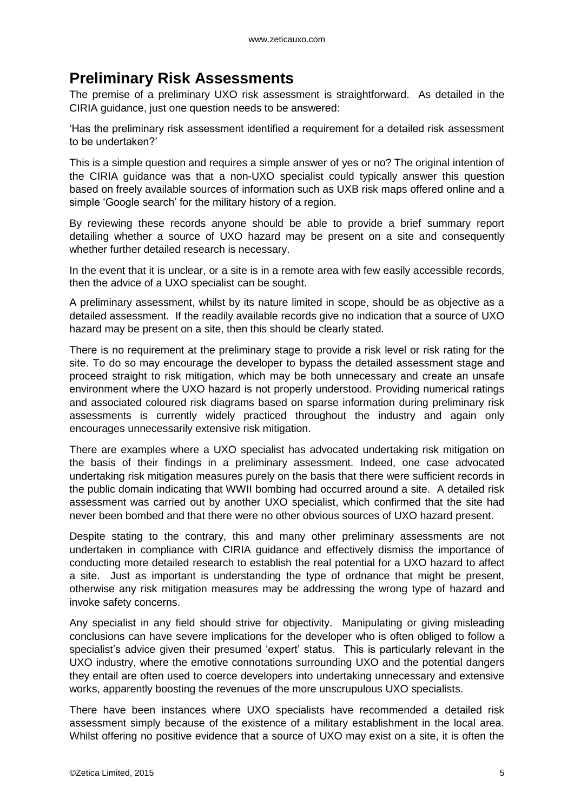# <span id="page-4-0"></span>**Preliminary Risk Assessments**

The premise of a preliminary UXO risk assessment is straightforward. As detailed in the CIRIA guidance, just one question needs to be answered:

'Has the preliminary risk assessment identified a requirement for a detailed risk assessment to be undertaken?'

This is a simple question and requires a simple answer of yes or no? The original intention of the CIRIA guidance was that a non-UXO specialist could typically answer this question based on freely available sources of information such as UXB risk maps offered online and a simple 'Google search' for the military history of a region.

By reviewing these records anyone should be able to provide a brief summary report detailing whether a source of UXO hazard may be present on a site and consequently whether further detailed research is necessary.

In the event that it is unclear, or a site is in a remote area with few easily accessible records, then the advice of a UXO specialist can be sought.

A preliminary assessment, whilst by its nature limited in scope, should be as objective as a detailed assessment. If the readily available records give no indication that a source of UXO hazard may be present on a site, then this should be clearly stated.

There is no requirement at the preliminary stage to provide a risk level or risk rating for the site. To do so may encourage the developer to bypass the detailed assessment stage and proceed straight to risk mitigation, which may be both unnecessary and create an unsafe environment where the UXO hazard is not properly understood. Providing numerical ratings and associated coloured risk diagrams based on sparse information during preliminary risk assessments is currently widely practiced throughout the industry and again only encourages unnecessarily extensive risk mitigation.

There are examples where a UXO specialist has advocated undertaking risk mitigation on the basis of their findings in a preliminary assessment. Indeed, one case advocated undertaking risk mitigation measures purely on the basis that there were sufficient records in the public domain indicating that WWII bombing had occurred around a site. A detailed risk assessment was carried out by another UXO specialist, which confirmed that the site had never been bombed and that there were no other obvious sources of UXO hazard present.

Despite stating to the contrary, this and many other preliminary assessments are not undertaken in compliance with CIRIA guidance and effectively dismiss the importance of conducting more detailed research to establish the real potential for a UXO hazard to affect a site. Just as important is understanding the type of ordnance that might be present, otherwise any risk mitigation measures may be addressing the wrong type of hazard and invoke safety concerns.

Any specialist in any field should strive for objectivity. Manipulating or giving misleading conclusions can have severe implications for the developer who is often obliged to follow a specialist's advice given their presumed 'expert' status. This is particularly relevant in the UXO industry, where the emotive connotations surrounding UXO and the potential dangers they entail are often used to coerce developers into undertaking unnecessary and extensive works, apparently boosting the revenues of the more unscrupulous UXO specialists.

There have been instances where UXO specialists have recommended a detailed risk assessment simply because of the existence of a military establishment in the local area. Whilst offering no positive evidence that a source of UXO may exist on a site, it is often the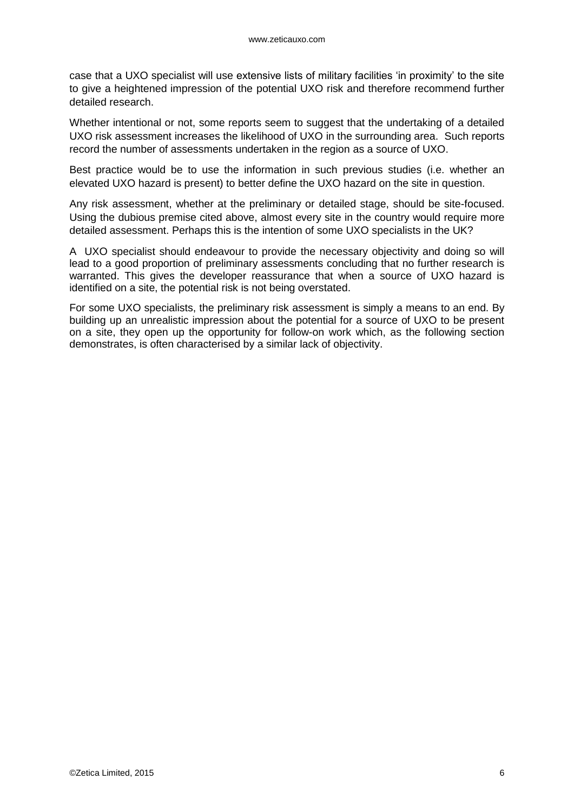case that a UXO specialist will use extensive lists of military facilities 'in proximity' to the site to give a heightened impression of the potential UXO risk and therefore recommend further detailed research.

Whether intentional or not, some reports seem to suggest that the undertaking of a detailed UXO risk assessment increases the likelihood of UXO in the surrounding area. Such reports record the number of assessments undertaken in the region as a source of UXO.

Best practice would be to use the information in such previous studies (i.e. whether an elevated UXO hazard is present) to better define the UXO hazard on the site in question.

Any risk assessment, whether at the preliminary or detailed stage, should be site-focused. Using the dubious premise cited above, almost every site in the country would require more detailed assessment. Perhaps this is the intention of some UXO specialists in the UK?

A UXO specialist should endeavour to provide the necessary objectivity and doing so will lead to a good proportion of preliminary assessments concluding that no further research is warranted. This gives the developer reassurance that when a source of UXO hazard is identified on a site, the potential risk is not being overstated.

For some UXO specialists, the preliminary risk assessment is simply a means to an end. By building up an unrealistic impression about the potential for a source of UXO to be present on a site, they open up the opportunity for follow-on work which, as the following section demonstrates, is often characterised by a similar lack of objectivity.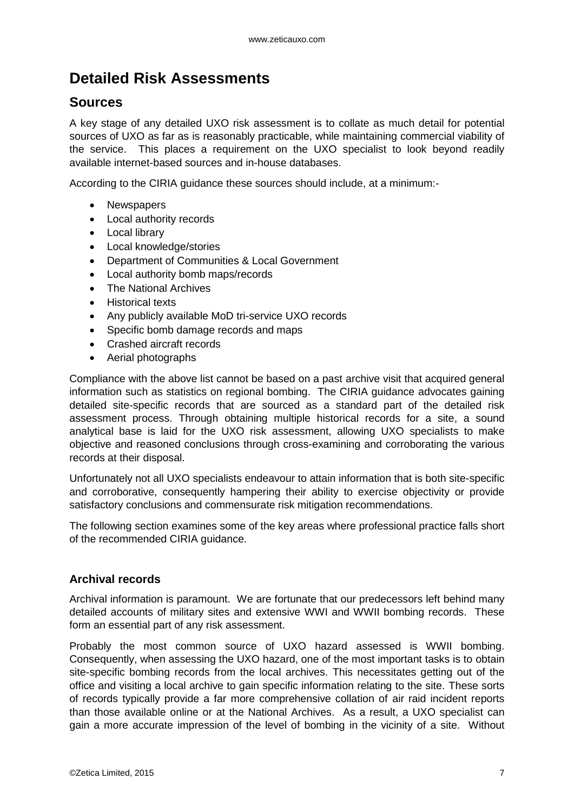# <span id="page-6-0"></span>**Detailed Risk Assessments**

### <span id="page-6-1"></span>**Sources**

A key stage of any detailed UXO risk assessment is to collate as much detail for potential sources of UXO as far as is reasonably practicable, while maintaining commercial viability of the service. This places a requirement on the UXO specialist to look beyond readily available internet-based sources and in-house databases.

According to the CIRIA guidance these sources should include, at a minimum:-

- Newspapers
- Local authority records
- Local library
- Local knowledge/stories
- Department of Communities & Local Government
- Local authority bomb maps/records
- The National Archives
- **•** Historical texts
- Any publicly available MoD tri-service UXO records
- Specific bomb damage records and maps
- Crashed aircraft records
- Aerial photographs

Compliance with the above list cannot be based on a past archive visit that acquired general information such as statistics on regional bombing. The CIRIA guidance advocates gaining detailed site-specific records that are sourced as a standard part of the detailed risk assessment process. Through obtaining multiple historical records for a site, a sound analytical base is laid for the UXO risk assessment, allowing UXO specialists to make objective and reasoned conclusions through cross-examining and corroborating the various records at their disposal.

Unfortunately not all UXO specialists endeavour to attain information that is both site-specific and corroborative, consequently hampering their ability to exercise objectivity or provide satisfactory conclusions and commensurate risk mitigation recommendations.

The following section examines some of the key areas where professional practice falls short of the recommended CIRIA guidance.

#### <span id="page-6-2"></span>**Archival records**

Archival information is paramount. We are fortunate that our predecessors left behind many detailed accounts of military sites and extensive WWI and WWII bombing records. These form an essential part of any risk assessment.

Probably the most common source of UXO hazard assessed is WWII bombing. Consequently, when assessing the UXO hazard, one of the most important tasks is to obtain site-specific bombing records from the local archives. This necessitates getting out of the office and visiting a local archive to gain specific information relating to the site. These sorts of records typically provide a far more comprehensive collation of air raid incident reports than those available online or at the National Archives. As a result, a UXO specialist can gain a more accurate impression of the level of bombing in the vicinity of a site. Without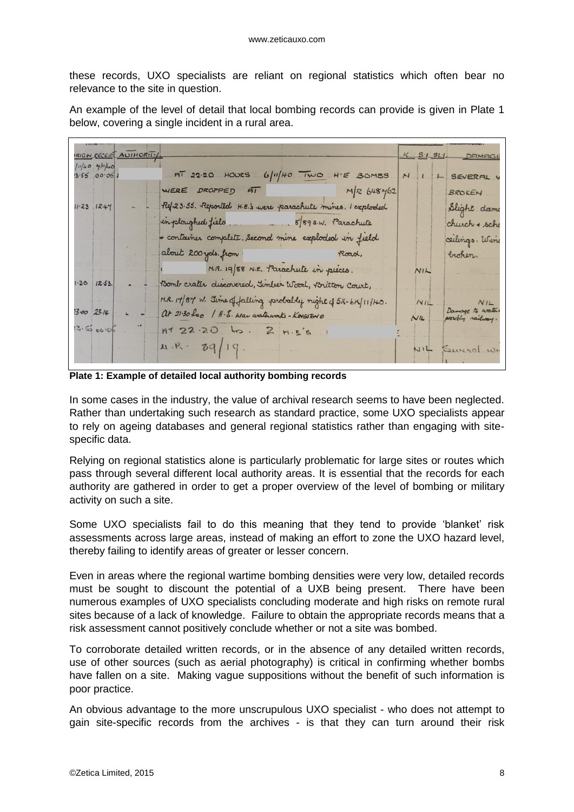these records, UXO specialists are reliant on regional statistics which often bear no relevance to the site in question.

An example of the level of detail that local bombing records can provide is given in Plate 1 below, covering a single incident in a rural area.

| RIGH RECEIPT AUTHORITY                                                       |                                                               |     | $K = S/I = SL/I$                                      |
|------------------------------------------------------------------------------|---------------------------------------------------------------|-----|-------------------------------------------------------|
| $10/40$ 4/1/40<br>3.55000051                                                 | $\overline{AT}$ 22.20 HOURS 6/11/40 TWO H'E BOMBS N           |     | L SEVERAL V                                           |
|                                                                              | WERE DROPPED AT $M/R$ 648 $4/62$                              |     | BROKEN                                                |
| $11.23$ $12.47$                                                              | Ref. 23.55. Reported H.E.'s were parachute mines. I exploded  |     | Slight dame                                           |
|                                                                              | in ploughed field 5/89 s.w. Parachute                         |     | church + sche                                         |
|                                                                              | + container complete. Second mine exploded in field           |     | ceilings. Wine                                        |
|                                                                              | about 200 yols. from                                          |     | broken.                                               |
|                                                                              | MR. 19/88 N.E. Parachute in pieces.                           | NIL |                                                       |
| $1.30$ $12.53.$                                                              | Bomb crater discovered, Timber Wood, Britton Court,           |     |                                                       |
|                                                                              | H.R. 19/87 W. Time of falling probably night of 5/h-bK/11/HO. |     |                                                       |
| $23.00$ $23.14$<br>$\begin{array}{ccc} \n\text{L} & \text{L} \\ \end{array}$ | $\alpha$ 21.30 hso $1$ H.S. Weav waterworks - Kongston 0      |     | $NIL$ $NIL$ $\frac{Number of water}{Number of water}$ |
| 3.550005                                                                     | $RT$ 22.20 hs. 2 $H.E.S.$                                     |     |                                                       |
|                                                                              | $x R - 8q/1q$ .                                               |     | NIL Several w.                                        |
|                                                                              |                                                               |     |                                                       |

**Plate 1: Example of detailed local authority bombing records**

In some cases in the industry, the value of archival research seems to have been neglected. Rather than undertaking such research as standard practice, some UXO specialists appear to rely on ageing databases and general regional statistics rather than engaging with sitespecific data.

Relying on regional statistics alone is particularly problematic for large sites or routes which pass through several different local authority areas. It is essential that the records for each authority are gathered in order to get a proper overview of the level of bombing or military activity on such a site.

Some UXO specialists fail to do this meaning that they tend to provide 'blanket' risk assessments across large areas, instead of making an effort to zone the UXO hazard level, thereby failing to identify areas of greater or lesser concern.

Even in areas where the regional wartime bombing densities were very low, detailed records must be sought to discount the potential of a UXB being present. There have been numerous examples of UXO specialists concluding moderate and high risks on remote rural sites because of a lack of knowledge. Failure to obtain the appropriate records means that a risk assessment cannot positively conclude whether or not a site was bombed.

To corroborate detailed written records, or in the absence of any detailed written records, use of other sources (such as aerial photography) is critical in confirming whether bombs have fallen on a site. Making vague suppositions without the benefit of such information is poor practice.

An obvious advantage to the more unscrupulous UXO specialist - who does not attempt to gain site-specific records from the archives - is that they can turn around their risk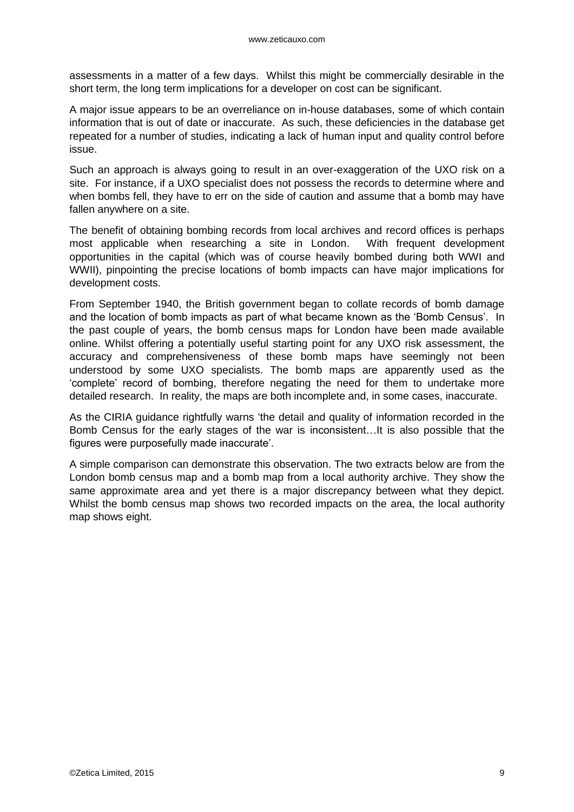assessments in a matter of a few days. Whilst this might be commercially desirable in the short term, the long term implications for a developer on cost can be significant.

A major issue appears to be an overreliance on in-house databases, some of which contain information that is out of date or inaccurate. As such, these deficiencies in the database get repeated for a number of studies, indicating a lack of human input and quality control before issue.

Such an approach is always going to result in an over-exaggeration of the UXO risk on a site. For instance, if a UXO specialist does not possess the records to determine where and when bombs fell, they have to err on the side of caution and assume that a bomb may have fallen anywhere on a site.

The benefit of obtaining bombing records from local archives and record offices is perhaps most applicable when researching a site in London. With frequent development opportunities in the capital (which was of course heavily bombed during both WWI and WWII), pinpointing the precise locations of bomb impacts can have major implications for development costs.

From September 1940, the British government began to collate records of bomb damage and the location of bomb impacts as part of what became known as the 'Bomb Census'. In the past couple of years, the bomb census maps for London have been made available online. Whilst offering a potentially useful starting point for any UXO risk assessment, the accuracy and comprehensiveness of these bomb maps have seemingly not been understood by some UXO specialists. The bomb maps are apparently used as the 'complete' record of bombing, therefore negating the need for them to undertake more detailed research. In reality, the maps are both incomplete and, in some cases, inaccurate.

As the CIRIA guidance rightfully warns 'the detail and quality of information recorded in the Bomb Census for the early stages of the war is inconsistent…It is also possible that the figures were purposefully made inaccurate'.

A simple comparison can demonstrate this observation. The two extracts below are from the London bomb census map and a bomb map from a local authority archive. They show the same approximate area and yet there is a major discrepancy between what they depict. Whilst the bomb census map shows two recorded impacts on the area, the local authority map shows eight.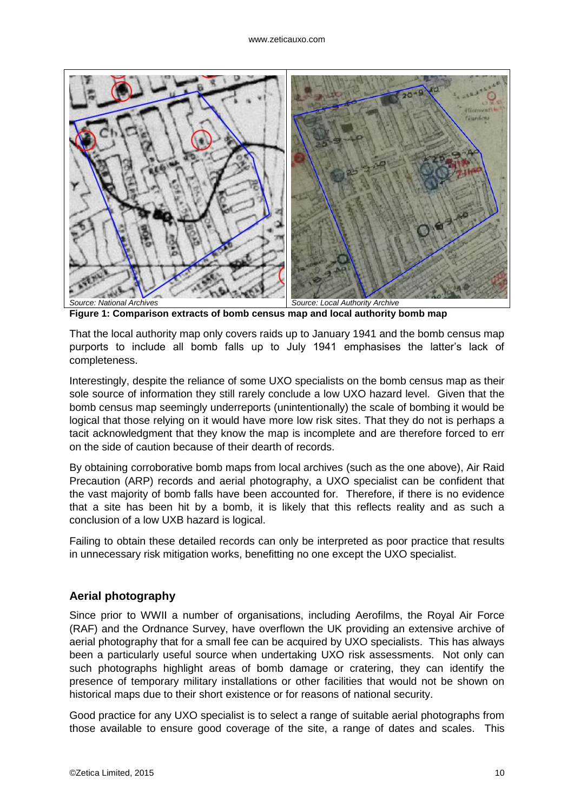

**Figure 1: Comparison extracts of bomb census map and local authority bomb map**

That the local authority map only covers raids up to January 1941 and the bomb census map purports to include all bomb falls up to July 1941 emphasises the latter's lack of completeness.

Interestingly, despite the reliance of some UXO specialists on the bomb census map as their sole source of information they still rarely conclude a low UXO hazard level. Given that the bomb census map seemingly underreports (unintentionally) the scale of bombing it would be logical that those relying on it would have more low risk sites. That they do not is perhaps a tacit acknowledgment that they know the map is incomplete and are therefore forced to err on the side of caution because of their dearth of records.

By obtaining corroborative bomb maps from local archives (such as the one above), Air Raid Precaution (ARP) records and aerial photography, a UXO specialist can be confident that the vast majority of bomb falls have been accounted for. Therefore, if there is no evidence that a site has been hit by a bomb, it is likely that this reflects reality and as such a conclusion of a low UXB hazard is logical.

Failing to obtain these detailed records can only be interpreted as poor practice that results in unnecessary risk mitigation works, benefitting no one except the UXO specialist.

#### <span id="page-9-0"></span>**Aerial photography**

Since prior to WWII a number of organisations, including Aerofilms, the Royal Air Force (RAF) and the Ordnance Survey, have overflown the UK providing an extensive archive of aerial photography that for a small fee can be acquired by UXO specialists. This has always been a particularly useful source when undertaking UXO risk assessments. Not only can such photographs highlight areas of bomb damage or cratering, they can identify the presence of temporary military installations or other facilities that would not be shown on historical maps due to their short existence or for reasons of national security.

Good practice for any UXO specialist is to select a range of suitable aerial photographs from those available to ensure good coverage of the site, a range of dates and scales. This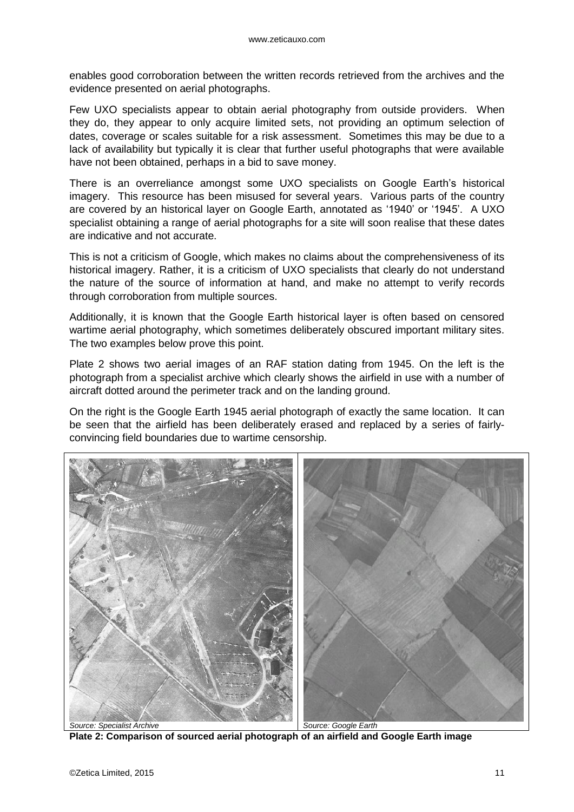enables good corroboration between the written records retrieved from the archives and the evidence presented on aerial photographs.

Few UXO specialists appear to obtain aerial photography from outside providers. When they do, they appear to only acquire limited sets, not providing an optimum selection of dates, coverage or scales suitable for a risk assessment. Sometimes this may be due to a lack of availability but typically it is clear that further useful photographs that were available have not been obtained, perhaps in a bid to save money.

There is an overreliance amongst some UXO specialists on Google Earth's historical imagery. This resource has been misused for several years. Various parts of the country are covered by an historical layer on Google Earth, annotated as '1940' or '1945'. A UXO specialist obtaining a range of aerial photographs for a site will soon realise that these dates are indicative and not accurate.

This is not a criticism of Google, which makes no claims about the comprehensiveness of its historical imagery. Rather, it is a criticism of UXO specialists that clearly do not understand the nature of the source of information at hand, and make no attempt to verify records through corroboration from multiple sources.

Additionally, it is known that the Google Earth historical layer is often based on censored wartime aerial photography, which sometimes deliberately obscured important military sites. The two examples below prove this point.

Plate 2 shows two aerial images of an RAF station dating from 1945. On the left is the photograph from a specialist archive which clearly shows the airfield in use with a number of aircraft dotted around the perimeter track and on the landing ground.

On the right is the Google Earth 1945 aerial photograph of exactly the same location. It can be seen that the airfield has been deliberately erased and replaced by a series of fairlyconvincing field boundaries due to wartime censorship.



**Plate 2: Comparison of sourced aerial photograph of an airfield and Google Earth image**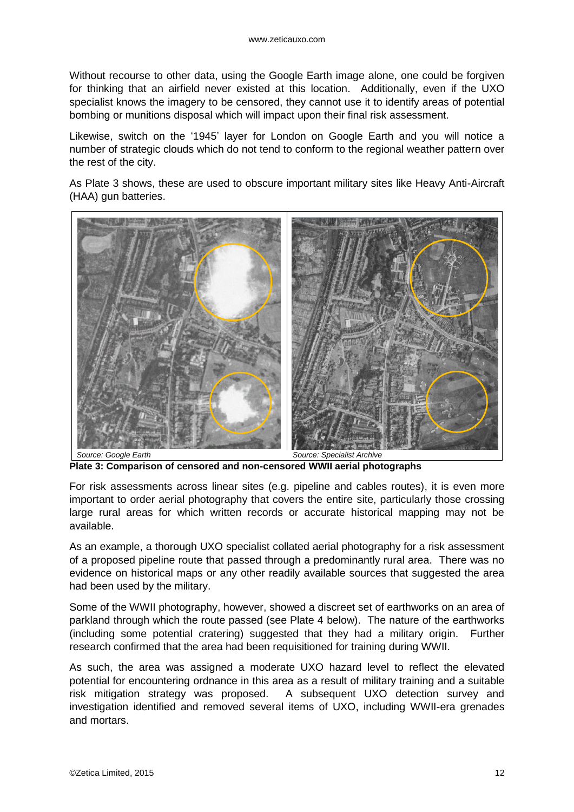Without recourse to other data, using the Google Earth image alone, one could be forgiven for thinking that an airfield never existed at this location. Additionally, even if the UXO specialist knows the imagery to be censored, they cannot use it to identify areas of potential bombing or munitions disposal which will impact upon their final risk assessment.

Likewise, switch on the '1945' layer for London on Google Earth and you will notice a number of strategic clouds which do not tend to conform to the regional weather pattern over the rest of the city.

As Plate 3 shows, these are used to obscure important military sites like Heavy Anti-Aircraft (HAA) gun batteries.



**Plate 3: Comparison of censored and non-censored WWII aerial photographs**

For risk assessments across linear sites (e.g. pipeline and cables routes), it is even more important to order aerial photography that covers the entire site, particularly those crossing large rural areas for which written records or accurate historical mapping may not be available.

As an example, a thorough UXO specialist collated aerial photography for a risk assessment of a proposed pipeline route that passed through a predominantly rural area. There was no evidence on historical maps or any other readily available sources that suggested the area had been used by the military.

Some of the WWII photography, however, showed a discreet set of earthworks on an area of parkland through which the route passed (see Plate 4 below). The nature of the earthworks (including some potential cratering) suggested that they had a military origin. Further research confirmed that the area had been requisitioned for training during WWII.

As such, the area was assigned a moderate UXO hazard level to reflect the elevated potential for encountering ordnance in this area as a result of military training and a suitable risk mitigation strategy was proposed. A subsequent UXO detection survey and investigation identified and removed several items of UXO, including WWII-era grenades and mortars.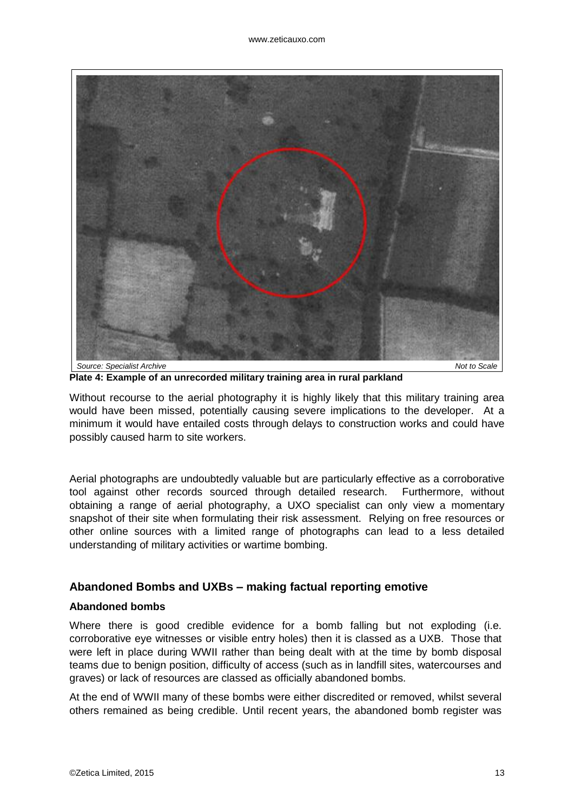

**Plate 4: Example of an unrecorded military training area in rural parkland**

Without recourse to the aerial photography it is highly likely that this military training area would have been missed, potentially causing severe implications to the developer. At a minimum it would have entailed costs through delays to construction works and could have possibly caused harm to site workers.

Aerial photographs are undoubtedly valuable but are particularly effective as a corroborative tool against other records sourced through detailed research. Furthermore, without obtaining a range of aerial photography, a UXO specialist can only view a momentary snapshot of their site when formulating their risk assessment. Relying on free resources or other online sources with a limited range of photographs can lead to a less detailed understanding of military activities or wartime bombing.

#### <span id="page-12-0"></span>**Abandoned Bombs and UXBs – making factual reporting emotive**

#### **Abandoned bombs**

Where there is good credible evidence for a bomb falling but not exploding (i.e. corroborative eye witnesses or visible entry holes) then it is classed as a UXB. Those that were left in place during WWII rather than being dealt with at the time by bomb disposal teams due to benign position, difficulty of access (such as in landfill sites, watercourses and graves) or lack of resources are classed as officially abandoned bombs.

At the end of WWII many of these bombs were either discredited or removed, whilst several others remained as being credible. Until recent years, the abandoned bomb register was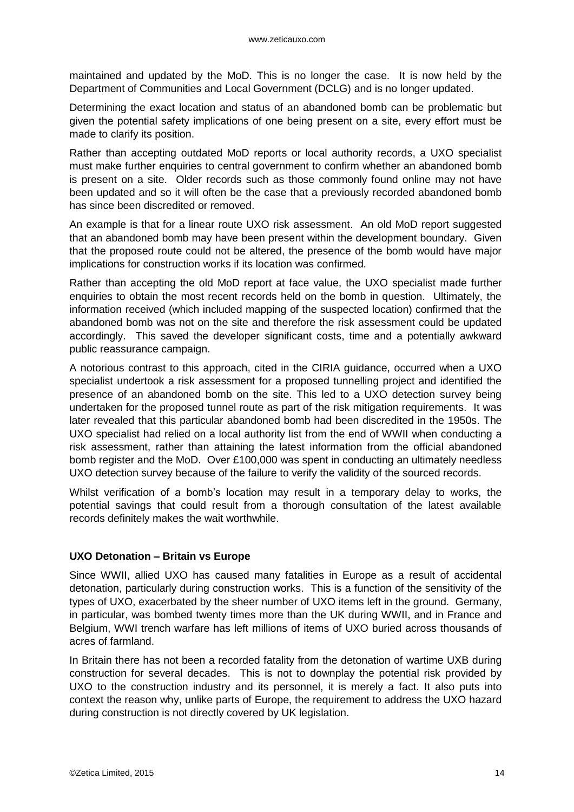maintained and updated by the MoD. This is no longer the case. It is now held by the Department of Communities and Local Government (DCLG) and is no longer updated.

Determining the exact location and status of an abandoned bomb can be problematic but given the potential safety implications of one being present on a site, every effort must be made to clarify its position.

Rather than accepting outdated MoD reports or local authority records, a UXO specialist must make further enquiries to central government to confirm whether an abandoned bomb is present on a site. Older records such as those commonly found online may not have been updated and so it will often be the case that a previously recorded abandoned bomb has since been discredited or removed.

An example is that for a linear route UXO risk assessment. An old MoD report suggested that an abandoned bomb may have been present within the development boundary. Given that the proposed route could not be altered, the presence of the bomb would have major implications for construction works if its location was confirmed.

Rather than accepting the old MoD report at face value, the UXO specialist made further enquiries to obtain the most recent records held on the bomb in question. Ultimately, the information received (which included mapping of the suspected location) confirmed that the abandoned bomb was not on the site and therefore the risk assessment could be updated accordingly. This saved the developer significant costs, time and a potentially awkward public reassurance campaign.

A notorious contrast to this approach, cited in the CIRIA guidance, occurred when a UXO specialist undertook a risk assessment for a proposed tunnelling project and identified the presence of an abandoned bomb on the site. This led to a UXO detection survey being undertaken for the proposed tunnel route as part of the risk mitigation requirements. It was later revealed that this particular abandoned bomb had been discredited in the 1950s. The UXO specialist had relied on a local authority list from the end of WWII when conducting a risk assessment, rather than attaining the latest information from the official abandoned bomb register and the MoD. Over £100,000 was spent in conducting an ultimately needless UXO detection survey because of the failure to verify the validity of the sourced records.

Whilst verification of a bomb's location may result in a temporary delay to works, the potential savings that could result from a thorough consultation of the latest available records definitely makes the wait worthwhile.

#### **UXO Detonation – Britain vs Europe**

Since WWII, allied UXO has caused many fatalities in Europe as a result of accidental detonation, particularly during construction works. This is a function of the sensitivity of the types of UXO, exacerbated by the sheer number of UXO items left in the ground. Germany, in particular, was bombed twenty times more than the UK during WWII, and in France and Belgium, WWI trench warfare has left millions of items of UXO buried across thousands of acres of farmland.

In Britain there has not been a recorded fatality from the detonation of wartime UXB during construction for several decades. This is not to downplay the potential risk provided by UXO to the construction industry and its personnel, it is merely a fact. It also puts into context the reason why, unlike parts of Europe, the requirement to address the UXO hazard during construction is not directly covered by UK legislation.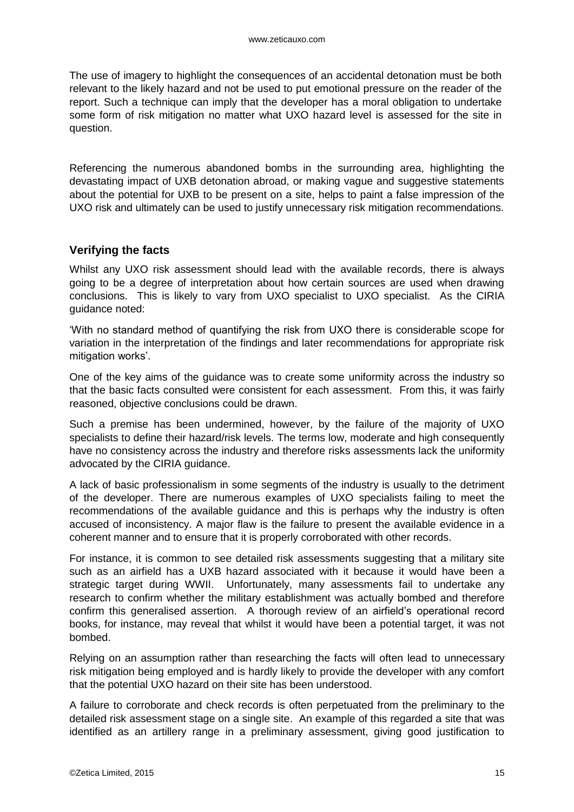The use of imagery to highlight the consequences of an accidental detonation must be both relevant to the likely hazard and not be used to put emotional pressure on the reader of the report. Such a technique can imply that the developer has a moral obligation to undertake some form of risk mitigation no matter what UXO hazard level is assessed for the site in question.

Referencing the numerous abandoned bombs in the surrounding area, highlighting the devastating impact of UXB detonation abroad, or making vague and suggestive statements about the potential for UXB to be present on a site, helps to paint a false impression of the UXO risk and ultimately can be used to justify unnecessary risk mitigation recommendations.

#### <span id="page-14-0"></span>**Verifying the facts**

Whilst any UXO risk assessment should lead with the available records, there is always going to be a degree of interpretation about how certain sources are used when drawing conclusions. This is likely to vary from UXO specialist to UXO specialist. As the CIRIA guidance noted:

'With no standard method of quantifying the risk from UXO there is considerable scope for variation in the interpretation of the findings and later recommendations for appropriate risk mitigation works'.

One of the key aims of the guidance was to create some uniformity across the industry so that the basic facts consulted were consistent for each assessment. From this, it was fairly reasoned, objective conclusions could be drawn.

Such a premise has been undermined, however, by the failure of the majority of UXO specialists to define their hazard/risk levels. The terms low, moderate and high consequently have no consistency across the industry and therefore risks assessments lack the uniformity advocated by the CIRIA guidance.

A lack of basic professionalism in some segments of the industry is usually to the detriment of the developer. There are numerous examples of UXO specialists failing to meet the recommendations of the available guidance and this is perhaps why the industry is often accused of inconsistency. A major flaw is the failure to present the available evidence in a coherent manner and to ensure that it is properly corroborated with other records.

For instance, it is common to see detailed risk assessments suggesting that a military site such as an airfield has a UXB hazard associated with it because it would have been a strategic target during WWII. Unfortunately, many assessments fail to undertake any research to confirm whether the military establishment was actually bombed and therefore confirm this generalised assertion. A thorough review of an airfield's operational record books, for instance, may reveal that whilst it would have been a potential target, it was not bombed.

Relying on an assumption rather than researching the facts will often lead to unnecessary risk mitigation being employed and is hardly likely to provide the developer with any comfort that the potential UXO hazard on their site has been understood.

A failure to corroborate and check records is often perpetuated from the preliminary to the detailed risk assessment stage on a single site. An example of this regarded a site that was identified as an artillery range in a preliminary assessment, giving good justification to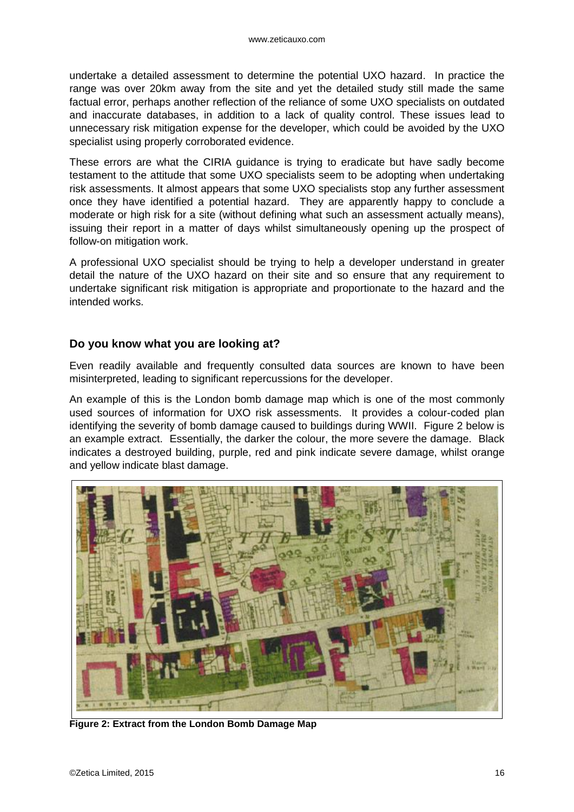undertake a detailed assessment to determine the potential UXO hazard. In practice the range was over 20km away from the site and yet the detailed study still made the same factual error, perhaps another reflection of the reliance of some UXO specialists on outdated and inaccurate databases, in addition to a lack of quality control. These issues lead to unnecessary risk mitigation expense for the developer, which could be avoided by the UXO specialist using properly corroborated evidence.

These errors are what the CIRIA guidance is trying to eradicate but have sadly become testament to the attitude that some UXO specialists seem to be adopting when undertaking risk assessments. It almost appears that some UXO specialists stop any further assessment once they have identified a potential hazard. They are apparently happy to conclude a moderate or high risk for a site (without defining what such an assessment actually means), issuing their report in a matter of days whilst simultaneously opening up the prospect of follow-on mitigation work.

A professional UXO specialist should be trying to help a developer understand in greater detail the nature of the UXO hazard on their site and so ensure that any requirement to undertake significant risk mitigation is appropriate and proportionate to the hazard and the intended works.

#### **Do you know what you are looking at?**

Even readily available and frequently consulted data sources are known to have been misinterpreted, leading to significant repercussions for the developer.

An example of this is the London bomb damage map which is one of the most commonly used sources of information for UXO risk assessments. It provides a colour-coded plan identifying the severity of bomb damage caused to buildings during WWII. Figure 2 below is an example extract. Essentially, the darker the colour, the more severe the damage. Black indicates a destroyed building, purple, red and pink indicate severe damage, whilst orange and yellow indicate blast damage.



**Figure 2: Extract from the London Bomb Damage Map**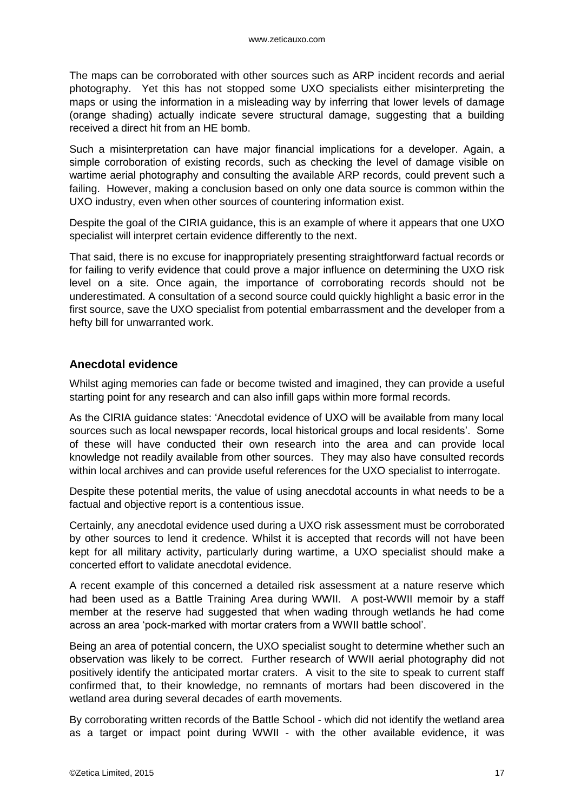The maps can be corroborated with other sources such as ARP incident records and aerial photography. Yet this has not stopped some UXO specialists either misinterpreting the maps or using the information in a misleading way by inferring that lower levels of damage (orange shading) actually indicate severe structural damage, suggesting that a building received a direct hit from an HE bomb.

Such a misinterpretation can have major financial implications for a developer. Again, a simple corroboration of existing records, such as checking the level of damage visible on wartime aerial photography and consulting the available ARP records, could prevent such a failing. However, making a conclusion based on only one data source is common within the UXO industry, even when other sources of countering information exist.

Despite the goal of the CIRIA guidance, this is an example of where it appears that one UXO specialist will interpret certain evidence differently to the next.

That said, there is no excuse for inappropriately presenting straightforward factual records or for failing to verify evidence that could prove a major influence on determining the UXO risk level on a site. Once again, the importance of corroborating records should not be underestimated. A consultation of a second source could quickly highlight a basic error in the first source, save the UXO specialist from potential embarrassment and the developer from a hefty bill for unwarranted work.

#### <span id="page-16-0"></span>**Anecdotal evidence**

Whilst aging memories can fade or become twisted and imagined, they can provide a useful starting point for any research and can also infill gaps within more formal records.

As the CIRIA guidance states: 'Anecdotal evidence of UXO will be available from many local sources such as local newspaper records, local historical groups and local residents'. Some of these will have conducted their own research into the area and can provide local knowledge not readily available from other sources. They may also have consulted records within local archives and can provide useful references for the UXO specialist to interrogate.

Despite these potential merits, the value of using anecdotal accounts in what needs to be a factual and objective report is a contentious issue.

Certainly, any anecdotal evidence used during a UXO risk assessment must be corroborated by other sources to lend it credence. Whilst it is accepted that records will not have been kept for all military activity, particularly during wartime, a UXO specialist should make a concerted effort to validate anecdotal evidence.

A recent example of this concerned a detailed risk assessment at a nature reserve which had been used as a Battle Training Area during WWII. A post-WWII memoir by a staff member at the reserve had suggested that when wading through wetlands he had come across an area 'pock-marked with mortar craters from a WWII battle school'.

Being an area of potential concern, the UXO specialist sought to determine whether such an observation was likely to be correct. Further research of WWII aerial photography did not positively identify the anticipated mortar craters. A visit to the site to speak to current staff confirmed that, to their knowledge, no remnants of mortars had been discovered in the wetland area during several decades of earth movements.

By corroborating written records of the Battle School - which did not identify the wetland area as a target or impact point during WWII - with the other available evidence, it was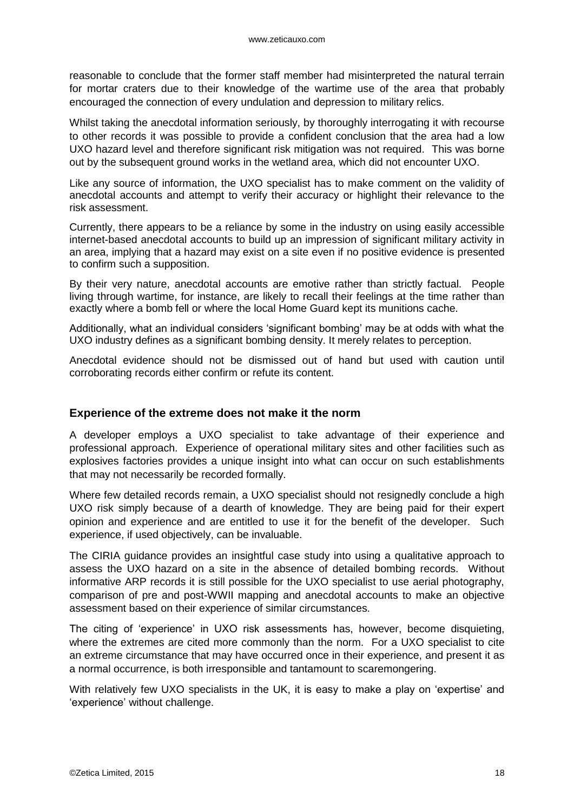reasonable to conclude that the former staff member had misinterpreted the natural terrain for mortar craters due to their knowledge of the wartime use of the area that probably encouraged the connection of every undulation and depression to military relics.

Whilst taking the anecdotal information seriously, by thoroughly interrogating it with recourse to other records it was possible to provide a confident conclusion that the area had a low UXO hazard level and therefore significant risk mitigation was not required. This was borne out by the subsequent ground works in the wetland area, which did not encounter UXO.

Like any source of information, the UXO specialist has to make comment on the validity of anecdotal accounts and attempt to verify their accuracy or highlight their relevance to the risk assessment.

Currently, there appears to be a reliance by some in the industry on using easily accessible internet-based anecdotal accounts to build up an impression of significant military activity in an area, implying that a hazard may exist on a site even if no positive evidence is presented to confirm such a supposition.

By their very nature, anecdotal accounts are emotive rather than strictly factual. People living through wartime, for instance, are likely to recall their feelings at the time rather than exactly where a bomb fell or where the local Home Guard kept its munitions cache.

Additionally, what an individual considers 'significant bombing' may be at odds with what the UXO industry defines as a significant bombing density. It merely relates to perception.

Anecdotal evidence should not be dismissed out of hand but used with caution until corroborating records either confirm or refute its content.

#### **Experience of the extreme does not make it the norm**

A developer employs a UXO specialist to take advantage of their experience and professional approach. Experience of operational military sites and other facilities such as explosives factories provides a unique insight into what can occur on such establishments that may not necessarily be recorded formally.

Where few detailed records remain, a UXO specialist should not resignedly conclude a high UXO risk simply because of a dearth of knowledge. They are being paid for their expert opinion and experience and are entitled to use it for the benefit of the developer. Such experience, if used objectively, can be invaluable.

The CIRIA guidance provides an insightful case study into using a qualitative approach to assess the UXO hazard on a site in the absence of detailed bombing records. Without informative ARP records it is still possible for the UXO specialist to use aerial photography, comparison of pre and post-WWII mapping and anecdotal accounts to make an objective assessment based on their experience of similar circumstances.

The citing of 'experience' in UXO risk assessments has, however, become disquieting, where the extremes are cited more commonly than the norm. For a UXO specialist to cite an extreme circumstance that may have occurred once in their experience, and present it as a normal occurrence, is both irresponsible and tantamount to scaremongering.

With relatively few UXO specialists in the UK, it is easy to make a play on 'expertise' and 'experience' without challenge.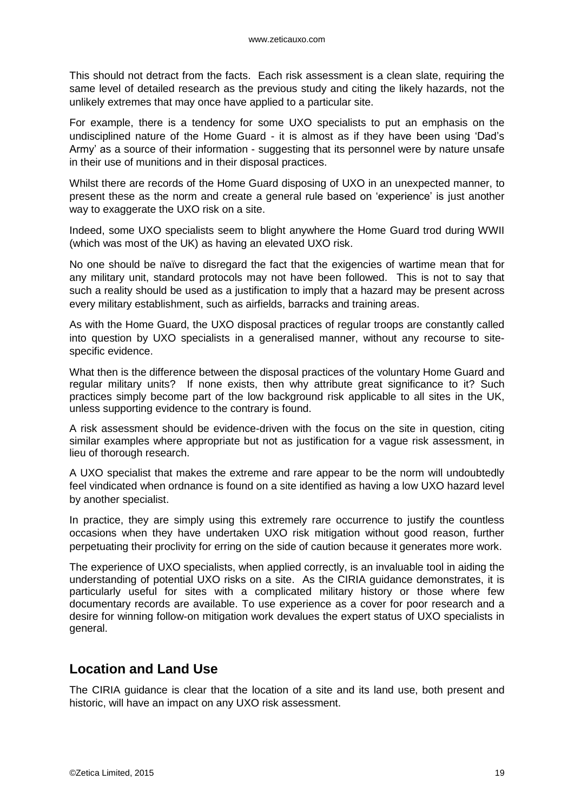This should not detract from the facts. Each risk assessment is a clean slate, requiring the same level of detailed research as the previous study and citing the likely hazards, not the unlikely extremes that may once have applied to a particular site.

For example, there is a tendency for some UXO specialists to put an emphasis on the undisciplined nature of the Home Guard - it is almost as if they have been using 'Dad's Army' as a source of their information - suggesting that its personnel were by nature unsafe in their use of munitions and in their disposal practices.

Whilst there are records of the Home Guard disposing of UXO in an unexpected manner, to present these as the norm and create a general rule based on 'experience' is just another way to exaggerate the UXO risk on a site.

Indeed, some UXO specialists seem to blight anywhere the Home Guard trod during WWII (which was most of the UK) as having an elevated UXO risk.

No one should be naïve to disregard the fact that the exigencies of wartime mean that for any military unit, standard protocols may not have been followed. This is not to say that such a reality should be used as a justification to imply that a hazard may be present across every military establishment, such as airfields, barracks and training areas.

As with the Home Guard, the UXO disposal practices of regular troops are constantly called into question by UXO specialists in a generalised manner, without any recourse to sitespecific evidence.

What then is the difference between the disposal practices of the voluntary Home Guard and regular military units? If none exists, then why attribute great significance to it? Such practices simply become part of the low background risk applicable to all sites in the UK, unless supporting evidence to the contrary is found.

A risk assessment should be evidence-driven with the focus on the site in question, citing similar examples where appropriate but not as justification for a vague risk assessment, in lieu of thorough research.

A UXO specialist that makes the extreme and rare appear to be the norm will undoubtedly feel vindicated when ordnance is found on a site identified as having a low UXO hazard level by another specialist.

In practice, they are simply using this extremely rare occurrence to justify the countless occasions when they have undertaken UXO risk mitigation without good reason, further perpetuating their proclivity for erring on the side of caution because it generates more work.

The experience of UXO specialists, when applied correctly, is an invaluable tool in aiding the understanding of potential UXO risks on a site. As the CIRIA guidance demonstrates, it is particularly useful for sites with a complicated military history or those where few documentary records are available. To use experience as a cover for poor research and a desire for winning follow-on mitigation work devalues the expert status of UXO specialists in general.

### <span id="page-18-0"></span>**Location and Land Use**

The CIRIA guidance is clear that the location of a site and its land use, both present and historic, will have an impact on any UXO risk assessment.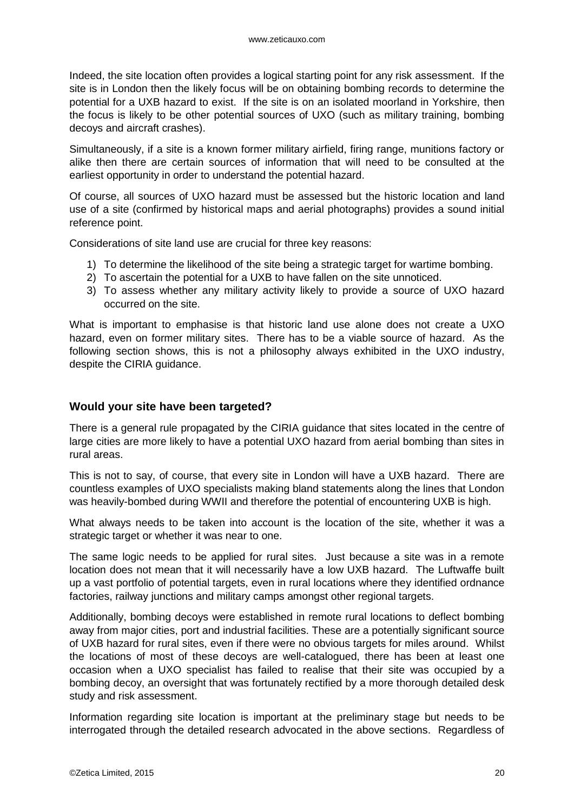Indeed, the site location often provides a logical starting point for any risk assessment. If the site is in London then the likely focus will be on obtaining bombing records to determine the potential for a UXB hazard to exist. If the site is on an isolated moorland in Yorkshire, then the focus is likely to be other potential sources of UXO (such as military training, bombing decoys and aircraft crashes).

Simultaneously, if a site is a known former military airfield, firing range, munitions factory or alike then there are certain sources of information that will need to be consulted at the earliest opportunity in order to understand the potential hazard.

Of course, all sources of UXO hazard must be assessed but the historic location and land use of a site (confirmed by historical maps and aerial photographs) provides a sound initial reference point.

Considerations of site land use are crucial for three key reasons:

- 1) To determine the likelihood of the site being a strategic target for wartime bombing.
- 2) To ascertain the potential for a UXB to have fallen on the site unnoticed.
- 3) To assess whether any military activity likely to provide a source of UXO hazard occurred on the site.

What is important to emphasise is that historic land use alone does not create a UXO hazard, even on former military sites. There has to be a viable source of hazard. As the following section shows, this is not a philosophy always exhibited in the UXO industry, despite the CIRIA guidance.

#### **Would your site have been targeted?**

There is a general rule propagated by the CIRIA guidance that sites located in the centre of large cities are more likely to have a potential UXO hazard from aerial bombing than sites in rural areas.

This is not to say, of course, that every site in London will have a UXB hazard. There are countless examples of UXO specialists making bland statements along the lines that London was heavily-bombed during WWII and therefore the potential of encountering UXB is high.

What always needs to be taken into account is the location of the site, whether it was a strategic target or whether it was near to one.

The same logic needs to be applied for rural sites. Just because a site was in a remote location does not mean that it will necessarily have a low UXB hazard. The Luftwaffe built up a vast portfolio of potential targets, even in rural locations where they identified ordnance factories, railway junctions and military camps amongst other regional targets.

Additionally, bombing decoys were established in remote rural locations to deflect bombing away from major cities, port and industrial facilities. These are a potentially significant source of UXB hazard for rural sites, even if there were no obvious targets for miles around. Whilst the locations of most of these decoys are well-catalogued, there has been at least one occasion when a UXO specialist has failed to realise that their site was occupied by a bombing decoy, an oversight that was fortunately rectified by a more thorough detailed desk study and risk assessment.

Information regarding site location is important at the preliminary stage but needs to be interrogated through the detailed research advocated in the above sections. Regardless of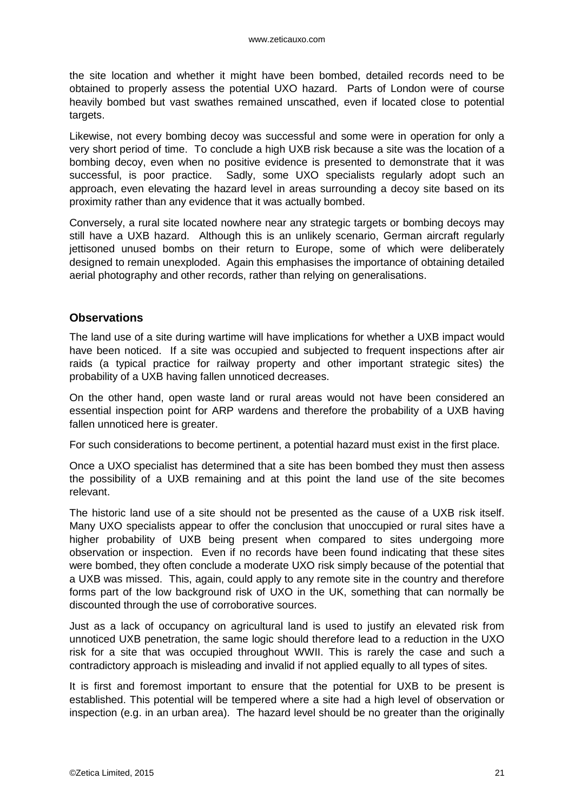the site location and whether it might have been bombed, detailed records need to be obtained to properly assess the potential UXO hazard. Parts of London were of course heavily bombed but vast swathes remained unscathed, even if located close to potential targets.

Likewise, not every bombing decoy was successful and some were in operation for only a very short period of time. To conclude a high UXB risk because a site was the location of a bombing decoy, even when no positive evidence is presented to demonstrate that it was successful, is poor practice. Sadly, some UXO specialists regularly adopt such an approach, even elevating the hazard level in areas surrounding a decoy site based on its proximity rather than any evidence that it was actually bombed.

Conversely, a rural site located nowhere near any strategic targets or bombing decoys may still have a UXB hazard. Although this is an unlikely scenario, German aircraft regularly jettisoned unused bombs on their return to Europe, some of which were deliberately designed to remain unexploded. Again this emphasises the importance of obtaining detailed aerial photography and other records, rather than relying on generalisations.

#### <span id="page-20-0"></span>**Observations**

The land use of a site during wartime will have implications for whether a UXB impact would have been noticed. If a site was occupied and subjected to frequent inspections after air raids (a typical practice for railway property and other important strategic sites) the probability of a UXB having fallen unnoticed decreases.

On the other hand, open waste land or rural areas would not have been considered an essential inspection point for ARP wardens and therefore the probability of a UXB having fallen unnoticed here is greater.

For such considerations to become pertinent, a potential hazard must exist in the first place.

Once a UXO specialist has determined that a site has been bombed they must then assess the possibility of a UXB remaining and at this point the land use of the site becomes relevant.

The historic land use of a site should not be presented as the cause of a UXB risk itself. Many UXO specialists appear to offer the conclusion that unoccupied or rural sites have a higher probability of UXB being present when compared to sites undergoing more observation or inspection. Even if no records have been found indicating that these sites were bombed, they often conclude a moderate UXO risk simply because of the potential that a UXB was missed. This, again, could apply to any remote site in the country and therefore forms part of the low background risk of UXO in the UK, something that can normally be discounted through the use of corroborative sources.

Just as a lack of occupancy on agricultural land is used to justify an elevated risk from unnoticed UXB penetration, the same logic should therefore lead to a reduction in the UXO risk for a site that was occupied throughout WWII. This is rarely the case and such a contradictory approach is misleading and invalid if not applied equally to all types of sites.

It is first and foremost important to ensure that the potential for UXB to be present is established. This potential will be tempered where a site had a high level of observation or inspection (e.g. in an urban area). The hazard level should be no greater than the originally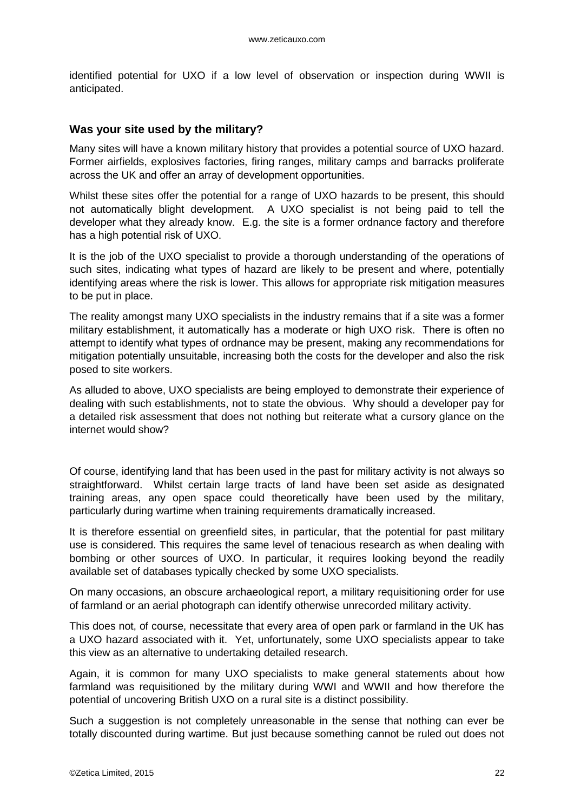identified potential for UXO if a low level of observation or inspection during WWII is anticipated.

#### <span id="page-21-0"></span>**Was your site used by the military?**

Many sites will have a known military history that provides a potential source of UXO hazard. Former airfields, explosives factories, firing ranges, military camps and barracks proliferate across the UK and offer an array of development opportunities.

Whilst these sites offer the potential for a range of UXO hazards to be present, this should not automatically blight development. A UXO specialist is not being paid to tell the developer what they already know. E.g. the site is a former ordnance factory and therefore has a high potential risk of UXO.

It is the job of the UXO specialist to provide a thorough understanding of the operations of such sites, indicating what types of hazard are likely to be present and where, potentially identifying areas where the risk is lower. This allows for appropriate risk mitigation measures to be put in place.

The reality amongst many UXO specialists in the industry remains that if a site was a former military establishment, it automatically has a moderate or high UXO risk. There is often no attempt to identify what types of ordnance may be present, making any recommendations for mitigation potentially unsuitable, increasing both the costs for the developer and also the risk posed to site workers.

As alluded to above, UXO specialists are being employed to demonstrate their experience of dealing with such establishments, not to state the obvious. Why should a developer pay for a detailed risk assessment that does not nothing but reiterate what a cursory glance on the internet would show?

Of course, identifying land that has been used in the past for military activity is not always so straightforward. Whilst certain large tracts of land have been set aside as designated training areas, any open space could theoretically have been used by the military, particularly during wartime when training requirements dramatically increased.

It is therefore essential on greenfield sites, in particular, that the potential for past military use is considered. This requires the same level of tenacious research as when dealing with bombing or other sources of UXO. In particular, it requires looking beyond the readily available set of databases typically checked by some UXO specialists.

On many occasions, an obscure archaeological report, a military requisitioning order for use of farmland or an aerial photograph can identify otherwise unrecorded military activity.

This does not, of course, necessitate that every area of open park or farmland in the UK has a UXO hazard associated with it. Yet, unfortunately, some UXO specialists appear to take this view as an alternative to undertaking detailed research.

Again, it is common for many UXO specialists to make general statements about how farmland was requisitioned by the military during WWI and WWII and how therefore the potential of uncovering British UXO on a rural site is a distinct possibility.

Such a suggestion is not completely unreasonable in the sense that nothing can ever be totally discounted during wartime. But just because something cannot be ruled out does not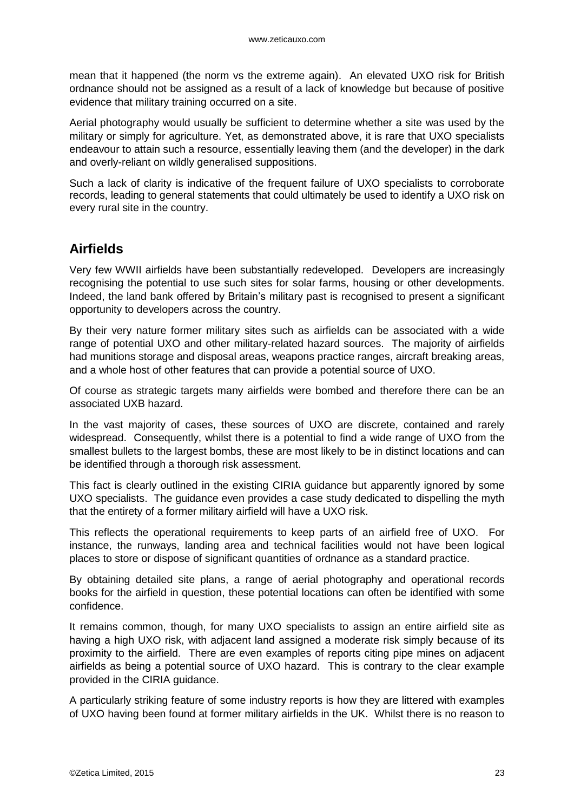mean that it happened (the norm vs the extreme again). An elevated UXO risk for British ordnance should not be assigned as a result of a lack of knowledge but because of positive evidence that military training occurred on a site.

Aerial photography would usually be sufficient to determine whether a site was used by the military or simply for agriculture. Yet, as demonstrated above, it is rare that UXO specialists endeavour to attain such a resource, essentially leaving them (and the developer) in the dark and overly-reliant on wildly generalised suppositions.

Such a lack of clarity is indicative of the frequent failure of UXO specialists to corroborate records, leading to general statements that could ultimately be used to identify a UXO risk on every rural site in the country.

### <span id="page-22-0"></span>**Airfields**

Very few WWII airfields have been substantially redeveloped. Developers are increasingly recognising the potential to use such sites for solar farms, housing or other developments. Indeed, the land bank offered by Britain's military past is recognised to present a significant opportunity to developers across the country.

By their very nature former military sites such as airfields can be associated with a wide range of potential UXO and other military-related hazard sources. The majority of airfields had munitions storage and disposal areas, weapons practice ranges, aircraft breaking areas, and a whole host of other features that can provide a potential source of UXO.

Of course as strategic targets many airfields were bombed and therefore there can be an associated UXB hazard.

In the vast majority of cases, these sources of UXO are discrete, contained and rarely widespread. Consequently, whilst there is a potential to find a wide range of UXO from the smallest bullets to the largest bombs, these are most likely to be in distinct locations and can be identified through a thorough risk assessment.

This fact is clearly outlined in the existing CIRIA guidance but apparently ignored by some UXO specialists. The guidance even provides a case study dedicated to dispelling the myth that the entirety of a former military airfield will have a UXO risk.

This reflects the operational requirements to keep parts of an airfield free of UXO. For instance, the runways, landing area and technical facilities would not have been logical places to store or dispose of significant quantities of ordnance as a standard practice.

By obtaining detailed site plans, a range of aerial photography and operational records books for the airfield in question, these potential locations can often be identified with some confidence.

It remains common, though, for many UXO specialists to assign an entire airfield site as having a high UXO risk, with adjacent land assigned a moderate risk simply because of its proximity to the airfield. There are even examples of reports citing pipe mines on adjacent airfields as being a potential source of UXO hazard. This is contrary to the clear example provided in the CIRIA guidance.

A particularly striking feature of some industry reports is how they are littered with examples of UXO having been found at former military airfields in the UK. Whilst there is no reason to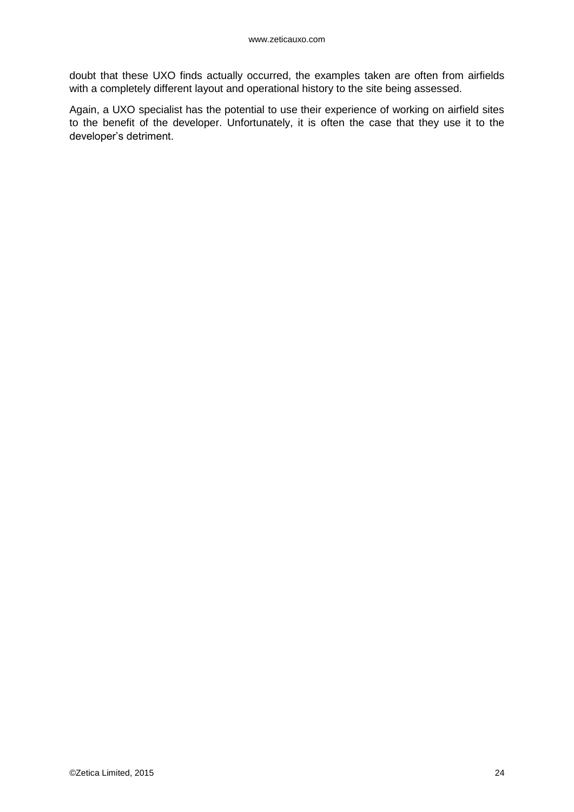doubt that these UXO finds actually occurred, the examples taken are often from airfields with a completely different layout and operational history to the site being assessed.

Again, a UXO specialist has the potential to use their experience of working on airfield sites to the benefit of the developer. Unfortunately, it is often the case that they use it to the developer's detriment.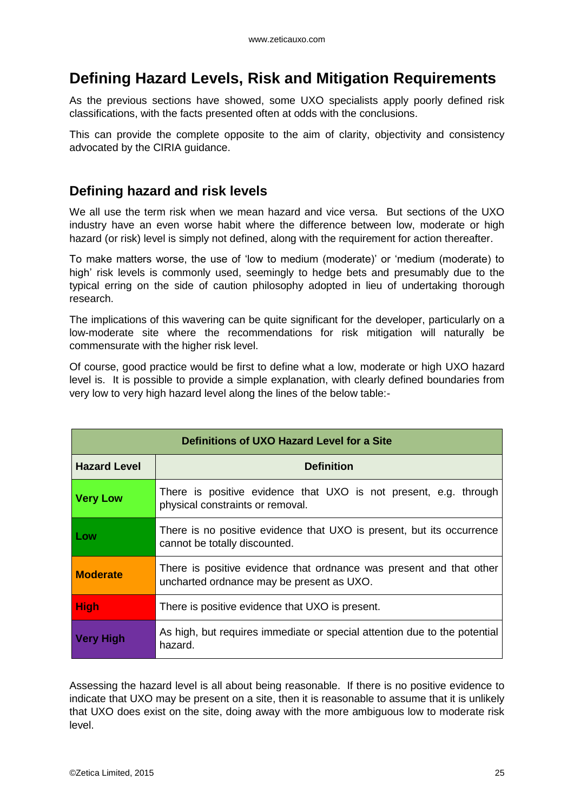# <span id="page-24-0"></span>**Defining Hazard Levels, Risk and Mitigation Requirements**

As the previous sections have showed, some UXO specialists apply poorly defined risk classifications, with the facts presented often at odds with the conclusions.

This can provide the complete opposite to the aim of clarity, objectivity and consistency advocated by the CIRIA guidance.

### <span id="page-24-1"></span>**Defining hazard and risk levels**

We all use the term risk when we mean hazard and vice versa. But sections of the UXO industry have an even worse habit where the difference between low, moderate or high hazard (or risk) level is simply not defined, along with the requirement for action thereafter.

To make matters worse, the use of 'low to medium (moderate)' or 'medium (moderate) to high' risk levels is commonly used, seemingly to hedge bets and presumably due to the typical erring on the side of caution philosophy adopted in lieu of undertaking thorough research.

The implications of this wavering can be quite significant for the developer, particularly on a low-moderate site where the recommendations for risk mitigation will naturally be commensurate with the higher risk level.

Of course, good practice would be first to define what a low, moderate or high UXO hazard level is. It is possible to provide a simple explanation, with clearly defined boundaries from very low to very high hazard level along the lines of the below table:-

| Definitions of UXO Hazard Level for a Site |                                                                                                                  |  |  |  |
|--------------------------------------------|------------------------------------------------------------------------------------------------------------------|--|--|--|
| <b>Hazard Level</b>                        | <b>Definition</b>                                                                                                |  |  |  |
| <b>Very Low</b>                            | There is positive evidence that UXO is not present, e.g. through<br>physical constraints or removal.             |  |  |  |
| Low                                        | There is no positive evidence that UXO is present, but its occurrence<br>cannot be totally discounted.           |  |  |  |
| <b>Moderate</b>                            | There is positive evidence that ordnance was present and that other<br>uncharted ordnance may be present as UXO. |  |  |  |
| <b>High</b>                                | There is positive evidence that UXO is present.                                                                  |  |  |  |
| Verv High                                  | As high, but requires immediate or special attention due to the potential<br>hazard.                             |  |  |  |

Assessing the hazard level is all about being reasonable. If there is no positive evidence to indicate that UXO may be present on a site, then it is reasonable to assume that it is unlikely that UXO does exist on the site, doing away with the more ambiguous low to moderate risk level.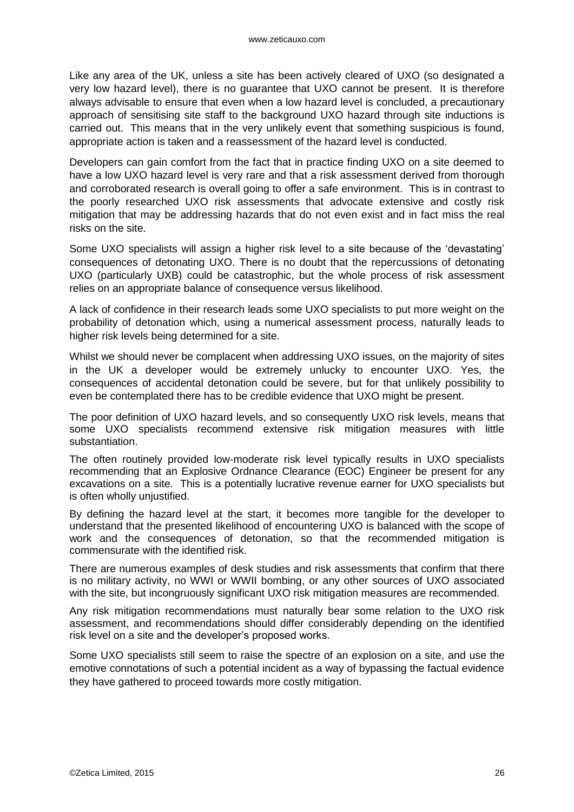Like any area of the UK, unless a site has been actively cleared of UXO (so designated a very low hazard level), there is no guarantee that UXO cannot be present. It is therefore always advisable to ensure that even when a low hazard level is concluded, a precautionary approach of sensitising site staff to the background UXO hazard through site inductions is carried out. This means that in the very unlikely event that something suspicious is found, appropriate action is taken and a reassessment of the hazard level is conducted.

Developers can gain comfort from the fact that in practice finding UXO on a site deemed to have a low UXO hazard level is very rare and that a risk assessment derived from thorough and corroborated research is overall going to offer a safe environment. This is in contrast to the poorly researched UXO risk assessments that advocate extensive and costly risk mitigation that may be addressing hazards that do not even exist and in fact miss the real risks on the site.

Some UXO specialists will assign a higher risk level to a site because of the 'devastating' consequences of detonating UXO. There is no doubt that the repercussions of detonating UXO (particularly UXB) could be catastrophic, but the whole process of risk assessment relies on an appropriate balance of consequence versus likelihood.

A lack of confidence in their research leads some UXO specialists to put more weight on the probability of detonation which, using a numerical assessment process, naturally leads to higher risk levels being determined for a site.

Whilst we should never be complacent when addressing UXO issues, on the majority of sites in the UK a developer would be extremely unlucky to encounter UXO. Yes, the consequences of accidental detonation could be severe, but for that unlikely possibility to even be contemplated there has to be credible evidence that UXO might be present.

The poor definition of UXO hazard levels, and so consequently UXO risk levels, means that some UXO specialists recommend extensive risk mitigation measures with little substantiation.

The often routinely provided low-moderate risk level typically results in UXO specialists recommending that an Explosive Ordnance Clearance (EOC) Engineer be present for any excavations on a site. This is a potentially lucrative revenue earner for UXO specialists but is often wholly unjustified.

By defining the hazard level at the start, it becomes more tangible for the developer to understand that the presented likelihood of encountering UXO is balanced with the scope of work and the consequences of detonation, so that the recommended mitigation is commensurate with the identified risk.

There are numerous examples of desk studies and risk assessments that confirm that there is no military activity, no WWI or WWII bombing, or any other sources of UXO associated with the site, but incongruously significant UXO risk mitigation measures are recommended.

Any risk mitigation recommendations must naturally bear some relation to the UXO risk assessment, and recommendations should differ considerably depending on the identified risk level on a site and the developer's proposed works.

Some UXO specialists still seem to raise the spectre of an explosion on a site, and use the emotive connotations of such a potential incident as a way of bypassing the factual evidence they have gathered to proceed towards more costly mitigation.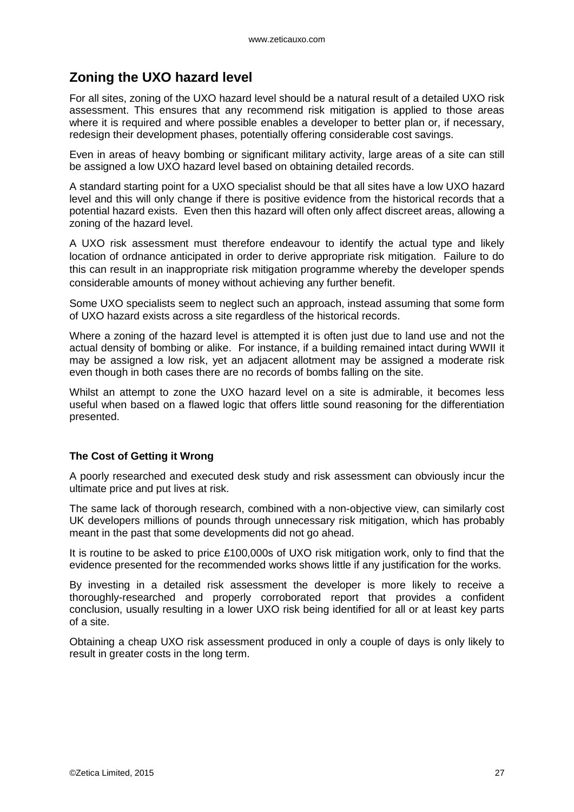### <span id="page-26-0"></span>**Zoning the UXO hazard level**

For all sites, zoning of the UXO hazard level should be a natural result of a detailed UXO risk assessment. This ensures that any recommend risk mitigation is applied to those areas where it is required and where possible enables a developer to better plan or, if necessary, redesign their development phases, potentially offering considerable cost savings.

Even in areas of heavy bombing or significant military activity, large areas of a site can still be assigned a low UXO hazard level based on obtaining detailed records.

A standard starting point for a UXO specialist should be that all sites have a low UXO hazard level and this will only change if there is positive evidence from the historical records that a potential hazard exists. Even then this hazard will often only affect discreet areas, allowing a zoning of the hazard level.

A UXO risk assessment must therefore endeavour to identify the actual type and likely location of ordnance anticipated in order to derive appropriate risk mitigation. Failure to do this can result in an inappropriate risk mitigation programme whereby the developer spends considerable amounts of money without achieving any further benefit.

Some UXO specialists seem to neglect such an approach, instead assuming that some form of UXO hazard exists across a site regardless of the historical records.

Where a zoning of the hazard level is attempted it is often just due to land use and not the actual density of bombing or alike. For instance, if a building remained intact during WWII it may be assigned a low risk, yet an adjacent allotment may be assigned a moderate risk even though in both cases there are no records of bombs falling on the site.

Whilst an attempt to zone the UXO hazard level on a site is admirable, it becomes less useful when based on a flawed logic that offers little sound reasoning for the differentiation presented.

#### **The Cost of Getting it Wrong**

A poorly researched and executed desk study and risk assessment can obviously incur the ultimate price and put lives at risk.

The same lack of thorough research, combined with a non-objective view, can similarly cost UK developers millions of pounds through unnecessary risk mitigation, which has probably meant in the past that some developments did not go ahead.

It is routine to be asked to price £100,000s of UXO risk mitigation work, only to find that the evidence presented for the recommended works shows little if any justification for the works.

By investing in a detailed risk assessment the developer is more likely to receive a thoroughly-researched and properly corroborated report that provides a confident conclusion, usually resulting in a lower UXO risk being identified for all or at least key parts of a site.

Obtaining a cheap UXO risk assessment produced in only a couple of days is only likely to result in greater costs in the long term.